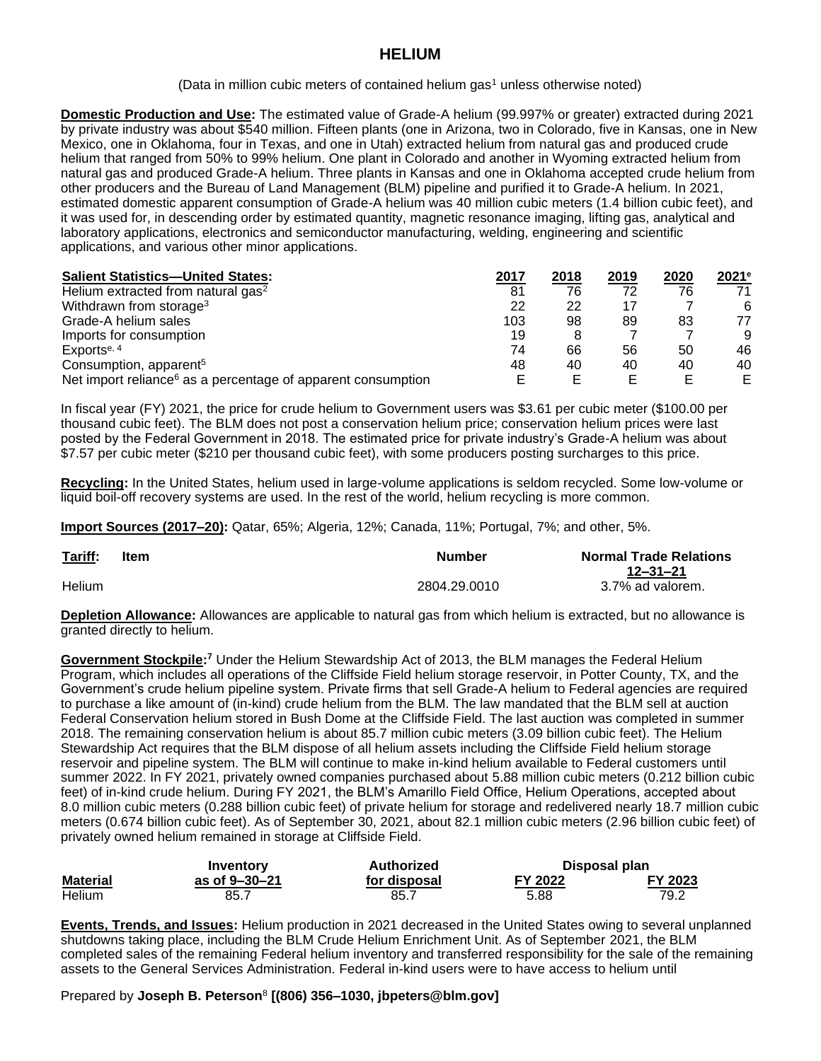## **HELIUM**

(Data in million cubic meters of contained helium gas<sup>1</sup> unless otherwise noted)

**Domestic Production and Use:** The estimated value of Grade-A helium (99.997% or greater) extracted during 2021 by private industry was about \$540 million. Fifteen plants (one in Arizona, two in Colorado, five in Kansas, one in New Mexico, one in Oklahoma, four in Texas, and one in Utah) extracted helium from natural gas and produced crude helium that ranged from 50% to 99% helium. One plant in Colorado and another in Wyoming extracted helium from natural gas and produced Grade-A helium. Three plants in Kansas and one in Oklahoma accepted crude helium from other producers and the Bureau of Land Management (BLM) pipeline and purified it to Grade-A helium. In 2021, estimated domestic apparent consumption of Grade-A helium was 40 million cubic meters (1.4 billion cubic feet), and it was used for, in descending order by estimated quantity, magnetic resonance imaging, lifting gas, analytical and laboratory applications, electronics and semiconductor manufacturing, welding, engineering and scientific applications, and various other minor applications.

| <b>Salient Statistics-United States:</b>                                 | 2017 | 2018 | 2019 | 2020 | $2021$ <sup>e</sup> |
|--------------------------------------------------------------------------|------|------|------|------|---------------------|
| Helium extracted from natural gas <sup>2</sup>                           | 81   | 76   | 72   | 76   | 71                  |
| Withdrawn from storage <sup>3</sup>                                      | 22   | 22   | 17   |      | 6                   |
| Grade-A helium sales                                                     | 103  | 98   | 89   | 83   | 77                  |
| Imports for consumption                                                  | 19   |      |      |      | 9                   |
| Exports <sup>e, 4</sup>                                                  | 74   | 66   | 56   | 50   | 46                  |
| Consumption, apparent <sup>5</sup>                                       | 48   | 40   | 40   | 40   | 40                  |
| Net import reliance <sup>6</sup> as a percentage of apparent consumption |      |      |      |      | F.                  |

In fiscal year (FY) 2021, the price for crude helium to Government users was \$3.61 per cubic meter (\$100.00 per thousand cubic feet). The BLM does not post a conservation helium price; conservation helium prices were last posted by the Federal Government in 2018. The estimated price for private industry's Grade-A helium was about \$7.57 per cubic meter (\$210 per thousand cubic feet), with some producers posting surcharges to this price.

**Recycling:** In the United States, helium used in large-volume applications is seldom recycled. Some low-volume or liquid boil-off recovery systems are used. In the rest of the world, helium recycling is more common.

**Import Sources (2017–20):** Qatar, 65%; Algeria, 12%; Canada, 11%; Portugal, 7%; and other, 5%.

| Tariff:<br><b>Contract Contract Contract Contract</b> | Item | <b>Number</b> | <b>Normal Trade Relations</b><br>12–31–21 |
|-------------------------------------------------------|------|---------------|-------------------------------------------|
| Helium                                                |      | 2804.29.0010  | 3.7% ad valorem.                          |

**Depletion Allowance:** Allowances are applicable to natural gas from which helium is extracted, but no allowance is granted directly to helium.

Government Stockpile:<sup>7</sup> Under the Helium Stewardship Act of 2013, the BLM manages the Federal Helium Program, which includes all operations of the Cliffside Field helium storage reservoir, in Potter County, TX, and the Government's crude helium pipeline system. Private firms that sell Grade-A helium to Federal agencies are required to purchase a like amount of (in-kind) crude helium from the BLM. The law mandated that the BLM sell at auction Federal Conservation helium stored in Bush Dome at the Cliffside Field. The last auction was completed in summer 2018. The remaining conservation helium is about 85.7 million cubic meters (3.09 billion cubic feet). The Helium Stewardship Act requires that the BLM dispose of all helium assets including the Cliffside Field helium storage reservoir and pipeline system. The BLM will continue to make in-kind helium available to Federal customers until summer 2022. In FY 2021, privately owned companies purchased about 5.88 million cubic meters (0.212 billion cubic feet) of in-kind crude helium. During FY 2021, the BLM's Amarillo Field Office, Helium Operations, accepted about 8.0 million cubic meters (0.288 billion cubic feet) of private helium for storage and redelivered nearly 18.7 million cubic meters (0.674 billion cubic feet). As of September 30, 2021, about 82.1 million cubic meters (2.96 billion cubic feet) of privately owned helium remained in storage at Cliffside Field.

|                 | Inventory     | Authorized   |         | Disposal plan |  |
|-----------------|---------------|--------------|---------|---------------|--|
| <b>Material</b> | as of 9–30–21 | for disposal | FY 2022 | FY 2023       |  |
| Helium          | 85.7          | 85.7         | 5.88    | 79.2          |  |

**Events, Trends, and Issues:** Helium production in 2021 decreased in the United States owing to several unplanned shutdowns taking place, including the BLM Crude Helium Enrichment Unit. As of September 2021, the BLM completed sales of the remaining Federal helium inventory and transferred responsibility for the sale of the remaining assets to the General Services Administration. Federal in-kind users were to have access to helium until

## Prepared by **Joseph B. Peterson**<sup>8</sup> **[(806) 356–1030, jbpeters@blm.gov]**